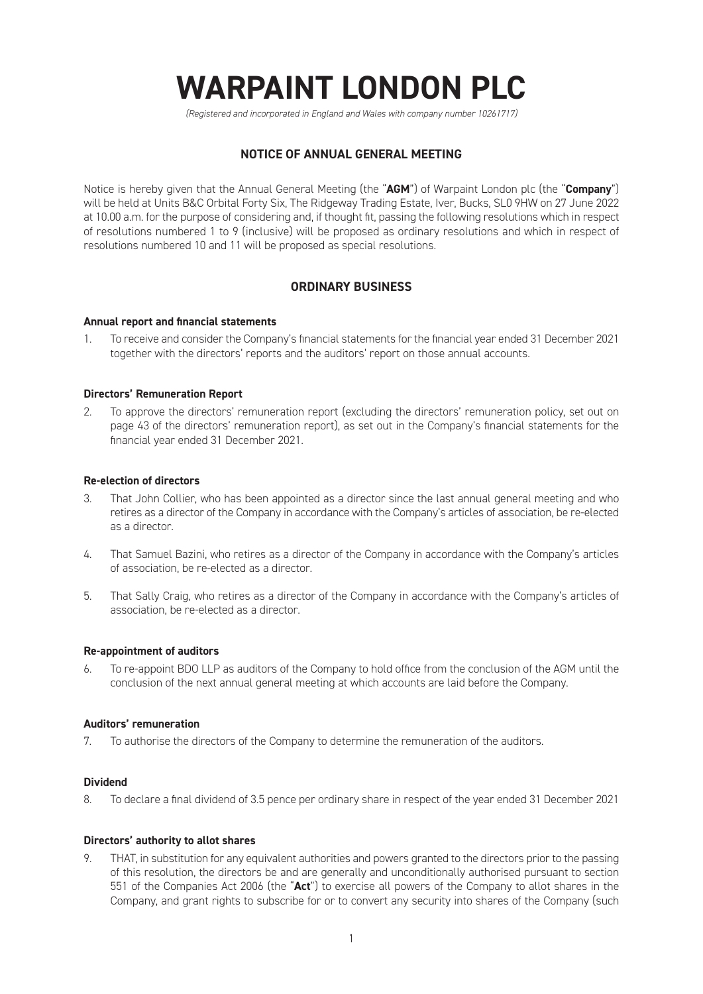# **WARPAINT LONDON PLC**

*(Registered and incorporated in England and Wales with company number 10261717)*

# **NOTICE OF ANNUAL GENERAL MEETING**

Notice is hereby given that the Annual General Meeting (the "**AGM**") of Warpaint London plc (the "**Company**") will be held at Units B&C Orbital Forty Six, The Ridgeway Trading Estate, Iver, Bucks, SL0 9HW on 27 June 2022 at 10.00 a.m. for the purpose of considering and, if thought fit, passing the following resolutions which in respect of resolutions numbered 1 to 9 (inclusive) will be proposed as ordinary resolutions and which in respect of resolutions numbered 10 and 11 will be proposed as special resolutions.

# **ORDINARY BUSINESS**

# **Annual report and financial statements**

1. To receive and consider the Company's financial statements for the financial year ended 31 December 2021 together with the directors' reports and the auditors' report on those annual accounts.

# **Directors' Remuneration Report**

2. To approve the directors' remuneration report (excluding the directors' remuneration policy, set out on page 43 of the directors' remuneration report), as set out in the Company's financial statements for the financial year ended 31 December 2021.

# **Re-election of directors**

- 3. That John Collier, who has been appointed as a director since the last annual general meeting and who retires as a director of the Company in accordance with the Company's articles of association, be re-elected as a director.
- 4. That Samuel Bazini, who retires as a director of the Company in accordance with the Company's articles of association, be re-elected as a director.
- 5. That Sally Craig, who retires as a director of the Company in accordance with the Company's articles of association, be re-elected as a director.

# **Re-appointment of auditors**

6. To re-appoint BDO LLP as auditors of the Company to hold office from the conclusion of the AGM until the conclusion of the next annual general meeting at which accounts are laid before the Company.

# **Auditors' remuneration**

7. To authorise the directors of the Company to determine the remuneration of the auditors.

# **Dividend**

8. To declare a final dividend of 3.5 pence per ordinary share in respect of the year ended 31 December 2021

# **Directors' authority to allot shares**

9. THAT, in substitution for any equivalent authorities and powers granted to the directors prior to the passing of this resolution, the directors be and are generally and unconditionally authorised pursuant to section 551 of the Companies Act 2006 (the "**Act**") to exercise all powers of the Company to allot shares in the Company, and grant rights to subscribe for or to convert any security into shares of the Company (such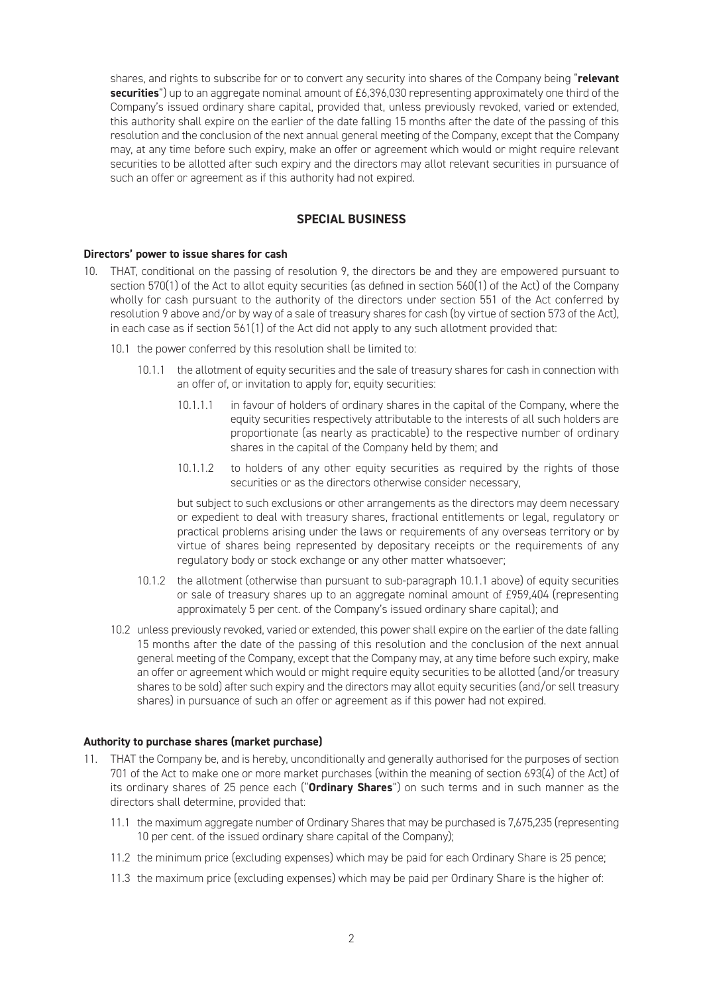shares, and rights to subscribe for or to convert any security into shares of the Company being "**relevant securities**") up to an aggregate nominal amount of £6,396,030 representing approximately one third of the Company's issued ordinary share capital, provided that, unless previously revoked, varied or extended, this authority shall expire on the earlier of the date falling 15 months after the date of the passing of this resolution and the conclusion of the next annual general meeting of the Company, except that the Company may, at any time before such expiry, make an offer or agreement which would or might require relevant securities to be allotted after such expiry and the directors may allot relevant securities in pursuance of such an offer or agreement as if this authority had not expired.

# **SPECIAL BUSINESS**

# **Directors' power to issue shares for cash**

- 10. THAT, conditional on the passing of resolution 9, the directors be and they are empowered pursuant to section 570(1) of the Act to allot equity securities (as defined in section 560(1) of the Act) of the Company wholly for cash pursuant to the authority of the directors under section 551 of the Act conferred by resolution 9 above and/or by way of a sale of treasury shares for cash (by virtue of section 573 of the Act), in each case as if section 561(1) of the Act did not apply to any such allotment provided that:
	- 10.1 the power conferred by this resolution shall be limited to:
		- 10.1.1 the allotment of equity securities and the sale of treasury shares for cash in connection with an offer of, or invitation to apply for, equity securities:
			- 10.1.1.1 in favour of holders of ordinary shares in the capital of the Company, where the equity securities respectively attributable to the interests of all such holders are proportionate (as nearly as practicable) to the respective number of ordinary shares in the capital of the Company held by them; and
			- 10.1.1.2 to holders of any other equity securities as required by the rights of those securities or as the directors otherwise consider necessary,

but subject to such exclusions or other arrangements as the directors may deem necessary or expedient to deal with treasury shares, fractional entitlements or legal, regulatory or practical problems arising under the laws or requirements of any overseas territory or by virtue of shares being represented by depositary receipts or the requirements of any regulatory body or stock exchange or any other matter whatsoever;

- 10.1.2 the allotment (otherwise than pursuant to sub-paragraph 10.1.1 above) of equity securities or sale of treasury shares up to an aggregate nominal amount of £959,404 (representing approximately 5 per cent. of the Company's issued ordinary share capital); and
- 10.2 unless previously revoked, varied or extended, this power shall expire on the earlier of the date falling 15 months after the date of the passing of this resolution and the conclusion of the next annual general meeting of the Company, except that the Company may, at any time before such expiry, make an offer or agreement which would or might require equity securities to be allotted (and/or treasury shares to be sold) after such expiry and the directors may allot equity securities (and/or sell treasury shares) in pursuance of such an offer or agreement as if this power had not expired.

# **Authority to purchase shares (market purchase)**

- 11. THAT the Company be, and is hereby, unconditionally and generally authorised for the purposes of section 701 of the Act to make one or more market purchases (within the meaning of section 693(4) of the Act) of its ordinary shares of 25 pence each ("**Ordinary Shares**") on such terms and in such manner as the directors shall determine, provided that:
	- 11.1 the maximum aggregate number of Ordinary Shares that may be purchased is 7,675,235 (representing 10 per cent. of the issued ordinary share capital of the Company);
	- 11.2 the minimum price (excluding expenses) which may be paid for each Ordinary Share is 25 pence;
	- 11.3 the maximum price (excluding expenses) which may be paid per Ordinary Share is the higher of: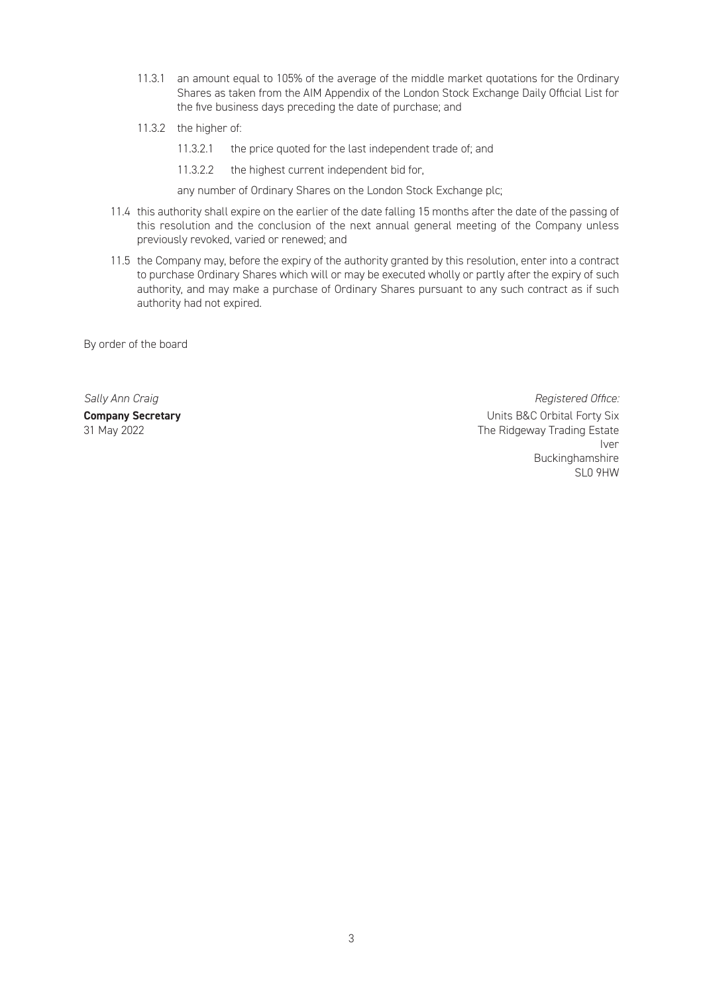- 11.3.1 an amount equal to 105% of the average of the middle market quotations for the Ordinary Shares as taken from the AIM Appendix of the London Stock Exchange Daily Official List for the five business days preceding the date of purchase; and
- 11.3.2 the higher of:
	- 11.3.2.1 the price quoted for the last independent trade of; and
	- 11.3.2.2 the highest current independent bid for,

any number of Ordinary Shares on the London Stock Exchange plc;

- 11.4 this authority shall expire on the earlier of the date falling 15 months after the date of the passing of this resolution and the conclusion of the next annual general meeting of the Company unless previously revoked, varied or renewed; and
- 11.5 the Company may, before the expiry of the authority granted by this resolution, enter into a contract to purchase Ordinary Shares which will or may be executed wholly or partly after the expiry of such authority, and may make a purchase of Ordinary Shares pursuant to any such contract as if such authority had not expired.

By order of the board

**Sally Ann Craig Community Community Community Community Community Community Community Community Community Community Community Community Community Community Community Community Community Community Community Community Commu Company Secretary Company Secretary Company Secretary Company Secretary Company Secretary Company Secretary Company Secretary Company Secretary Company Secretary Company Secretary Company Secretary C** 31 May 2022 The Ridgeway Trading Estate Iversity of the control of the control of the control of the control of the control of the control of the control of the control of the control of the control of the control of the control of the control of the control of Buckinghamshire<br>SLO 9HW SLO 9HW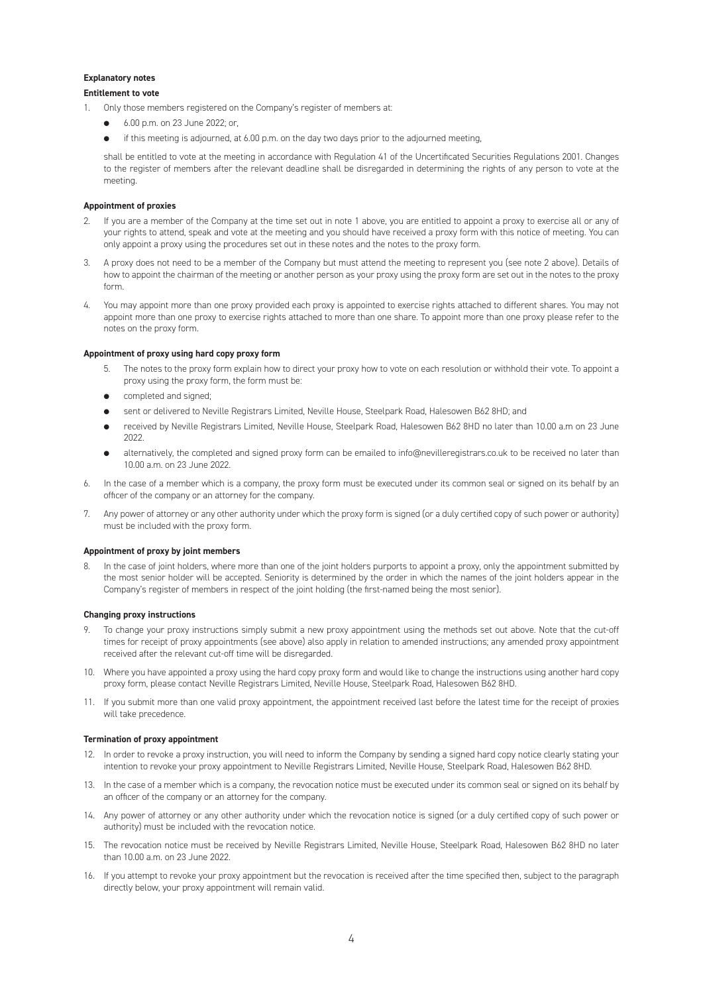### **Explanatory notes**

### **Entitlement to vote**

- 1. Only those members registered on the Company's register of members at:
	- l 6.00 p.m. on 23 June 2022; or,
	- if this meeting is adjourned, at 6.00 p.m. on the day two days prior to the adjourned meeting,

shall be entitled to vote at the meeting in accordance with Regulation 41 of the Uncertificated Securities Regulations 2001. Changes to the register of members after the relevant deadline shall be disregarded in determining the rights of any person to vote at the meeting.

#### **Appointment of proxies**

- 2. If you are a member of the Company at the time set out in note 1 above, you are entitled to appoint a proxy to exercise all or any of your rights to attend, speak and vote at the meeting and you should have received a proxy form with this notice of meeting. You can only appoint a proxy using the procedures set out in these notes and the notes to the proxy form.
- 3. A proxy does not need to be a member of the Company but must attend the meeting to represent you (see note 2 above). Details of how to appoint the chairman of the meeting or another person as your proxy using the proxy form are set out in the notes to the proxy form.
- You may appoint more than one proxy provided each proxy is appointed to exercise rights attached to different shares. You may not appoint more than one proxy to exercise rights attached to more than one share. To appoint more than one proxy please refer to the notes on the proxy form.

#### **Appointment of proxy using hard copy proxy form**

- 5. The notes to the proxy form explain how to direct your proxy how to vote on each resolution or withhold their vote. To appoint a proxy using the proxy form, the form must be:
- $\bullet$  completed and signed;
- sent or delivered to Neville Registrars Limited, Neville House, Steelpark Road, Halesowen B62 8HD; and
- received by Neville Registrars Limited, Neville House, Steelpark Road, Halesowen B62 8HD no later than 10.00 a.m on 23 June 2022.
- alternatively, the completed and signed proxy form can be emailed to info@nevilleregistrars.co.uk to be received no later than 10.00 a.m. on 23 June 2022.
- In the case of a member which is a company, the proxy form must be executed under its common seal or signed on its behalf by an officer of the company or an attorney for the company.
- 7. Any power of attorney or any other authority under which the proxy form is signed (or a duly certified copy of such power or authority) must be included with the proxy form.

#### **Appointment of proxy by joint members**

In the case of joint holders, where more than one of the joint holders purports to appoint a proxy, only the appointment submitted by the most senior holder will be accepted. Seniority is determined by the order in which the names of the joint holders appear in the Company's register of members in respect of the joint holding (the first-named being the most senior).

#### **Changing proxy instructions**

- 9. To change your proxy instructions simply submit a new proxy appointment using the methods set out above. Note that the cut-off times for receipt of proxy appointments (see above) also apply in relation to amended instructions; any amended proxy appointment received after the relevant cut-off time will be disregarded.
- 10. Where you have appointed a proxy using the hard copy proxy form and would like to change the instructions using another hard copy proxy form, please contact Neville Registrars Limited, Neville House, Steelpark Road, Halesowen B62 8HD.
- 11. If you submit more than one valid proxy appointment, the appointment received last before the latest time for the receipt of proxies will take precedence.

#### **Termination of proxy appointment**

- 12. In order to revoke a proxy instruction, you will need to inform the Company by sending a signed hard copy notice clearly stating your intention to revoke your proxy appointment to Neville Registrars Limited, Neville House, Steelpark Road, Halesowen B62 8HD.
- 13. In the case of a member which is a company, the revocation notice must be executed under its common seal or signed on its behalf by an officer of the company or an attorney for the company.
- 14. Any power of attorney or any other authority under which the revocation notice is signed (or a duly certified copy of such power or authority) must be included with the revocation notice.
- 15. The revocation notice must be received by Neville Registrars Limited, Neville House, Steelpark Road, Halesowen B62 8HD no later than 10.00 a.m. on 23 June 2022.
- 16. If you attempt to revoke your proxy appointment but the revocation is received after the time specified then, subject to the paragraph directly below, your proxy appointment will remain valid.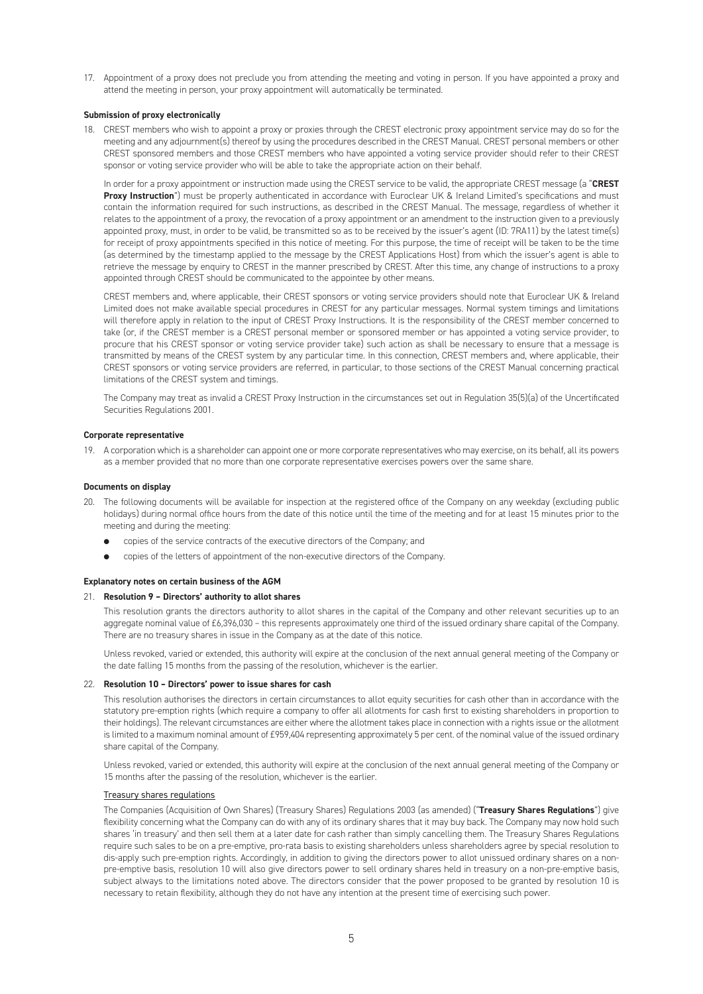17. Appointment of a proxy does not preclude you from attending the meeting and voting in person. If you have appointed a proxy and attend the meeting in person, your proxy appointment will automatically be terminated.

#### **Submission of proxy electronically**

18. CREST members who wish to appoint a proxy or proxies through the CREST electronic proxy appointment service may do so for the meeting and any adjournment(s) thereof by using the procedures described in the CREST Manual. CREST personal members or other CREST sponsored members and those CREST members who have appointed a voting service provider should refer to their CREST sponsor or voting service provider who will be able to take the appropriate action on their behalf.

In order for a proxy appointment or instruction made using the CREST service to be valid, the appropriate CREST message (a "**CREST Proxy Instruction**") must be properly authenticated in accordance with Euroclear UK & Ireland Limited's specifications and must contain the information required for such instructions, as described in the CREST Manual. The message, regardless of whether it relates to the appointment of a proxy, the revocation of a proxy appointment or an amendment to the instruction given to a previously appointed proxy, must, in order to be valid, be transmitted so as to be received by the issuer's agent (ID: 7RA11) by the latest time(s) for receipt of proxy appointments specified in this notice of meeting. For this purpose, the time of receipt will be taken to be the time (as determined by the timestamp applied to the message by the CREST Applications Host) from which the issuer's agent is able to retrieve the message by enquiry to CREST in the manner prescribed by CREST. After this time, any change of instructions to a proxy appointed through CREST should be communicated to the appointee by other means.

CREST members and, where applicable, their CREST sponsors or voting service providers should note that Euroclear UK & Ireland Limited does not make available special procedures in CREST for any particular messages. Normal system timings and limitations will therefore apply in relation to the input of CREST Proxy Instructions. It is the responsibility of the CREST member concerned to take (or, if the CREST member is a CREST personal member or sponsored member or has appointed a voting service provider, to procure that his CREST sponsor or voting service provider take) such action as shall be necessary to ensure that a message is transmitted by means of the CREST system by any particular time. In this connection, CREST members and, where applicable, their CREST sponsors or voting service providers are referred, in particular, to those sections of the CREST Manual concerning practical limitations of the CREST system and timings.

The Company may treat as invalid a CREST Proxy Instruction in the circumstances set out in Regulation 35(5)(a) of the Uncertificated Securities Regulations 2001.

#### **Corporate representative**

19. A corporation which is a shareholder can appoint one or more corporate representatives who may exercise, on its behalf, all its powers as a member provided that no more than one corporate representative exercises powers over the same share.

#### **Documents on display**

- 20. The following documents will be available for inspection at the registered office of the Company on any weekday (excluding public holidays) during normal office hours from the date of this notice until the time of the meeting and for at least 15 minutes prior to the meeting and during the meeting:
	- **e** copies of the service contracts of the executive directors of the Company; and
	- copies of the letters of appointment of the non-executive directors of the Company.

### **Explanatory notes on certain business of the AGM**

#### 21. **Resolution 9 – Directors' authority to allot shares**

This resolution grants the directors authority to allot shares in the capital of the Company and other relevant securities up to an aggregate nominal value of £6,396,030 – this represents approximately one third of the issued ordinary share capital of the Company. There are no treasury shares in issue in the Company as at the date of this notice.

Unless revoked, varied or extended, this authority will expire at the conclusion of the next annual general meeting of the Company or the date falling 15 months from the passing of the resolution, whichever is the earlier.

#### 22. **Resolution 10 – Directors' power to issue shares for cash**

This resolution authorises the directors in certain circumstances to allot equity securities for cash other than in accordance with the statutory pre-emption rights (which require a company to offer all allotments for cash first to existing shareholders in proportion to their holdings). The relevant circumstances are either where the allotment takes place in connection with a rights issue or the allotment is limited to a maximum nominal amount of £959,404 representing approximately 5 per cent. of the nominal value of the issued ordinary share capital of the Company.

Unless revoked, varied or extended, this authority will expire at the conclusion of the next annual general meeting of the Company or 15 months after the passing of the resolution, whichever is the earlier.

————————————————————<br>The Companies (Acquisition of Own Shares) (Treasury Shares) Regulations 2003 (as amended) ("**Treasury Shares Regulations**") give flexibility concerning what the Company can do with any of its ordinary shares that it may buy back. The Company may now hold such shares 'in treasury' and then sell them at a later date for cash rather than simply cancelling them. The Treasury Shares Regulations require such sales to be on a pre-emptive, pro-rata basis to existing shareholders unless shareholders agree by special resolution to dis-apply such pre-emption rights. Accordingly, in addition to giving the directors power to allot unissued ordinary shares on a nonpre-emptive basis, resolution 10 will also give directors power to sell ordinary shares held in treasury on a non-pre-emptive basis, subject always to the limitations noted above. The directors consider that the power proposed to be granted by resolution 10 is necessary to retain flexibility, although they do not have any intention at the present time of exercising such power.